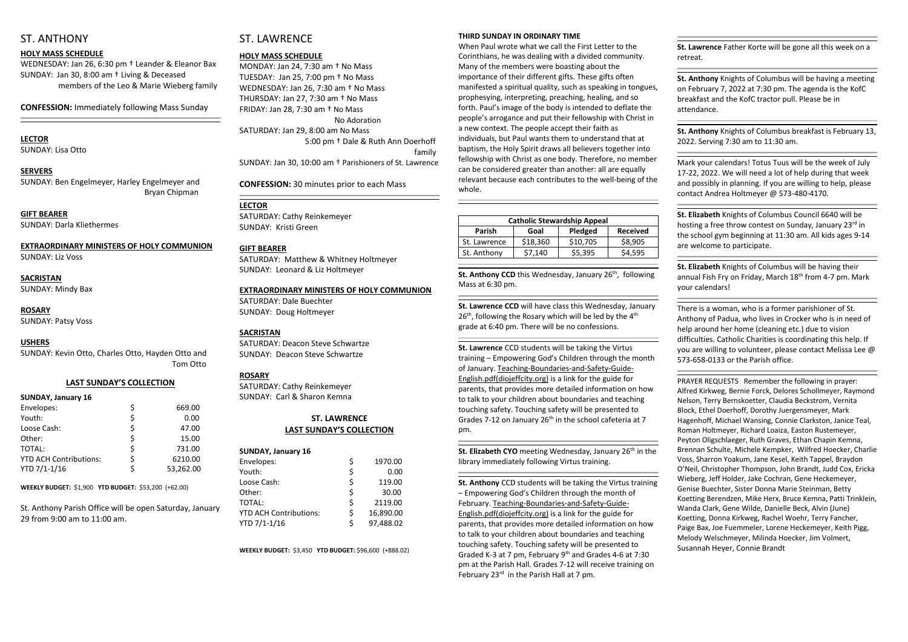### ST. ANTHONY

#### **HOLY MASS SCHEDULE**

WEDNESDAY: Jan 26, 6:30 pm † Leander & Eleanor Bax SUNDAY: Jan 30, 8:00 am † Living & Deceased members of the Leo & Marie Wieberg family

**CONFESSION:** Immediately following Mass Sunday

## **LECTOR**

SUNDAY: Lisa Otto

#### **SERVERS**

SUNDAY: Ben Engelmeyer, Harley Engelmeyer and Bryan Chipman

**GIFT BEARER** SUNDAY: Darla Kliethermes

**EXTRAORDINARY MINISTERS OF HOLY COMMUNION** SUNDAY: Liz Voss

## **SACRISTAN**

SUNDAY: Mindy Bax

#### **ROSARY**

SUNDAY: Patsy Voss

#### **USHERS**

SUNDAY: Kevin Otto, Charles Otto, Hayden Otto and Tom Otto

#### **LAST SUNDAY'S COLLECTION**

| <b>SUNDAY, January 16</b>     |    |           |
|-------------------------------|----|-----------|
| Envelopes:                    | Ś  | 669.00    |
| Youth:                        | \$ | 0.00      |
| Loose Cash:                   | \$ | 47.00     |
| Other:                        | Ś  | 15.00     |
| TOTAL:                        | \$ | 731.00    |
| <b>YTD ACH Contributions:</b> | Ś  | 6210.00   |
| YTD 7/1-1/16                  |    | 53,262.00 |

**WEEKLY BUDGET:** \$1,900 **YTD BUDGET:** \$53,200 (+62.00)

St. Anthony Parish Office will be open Saturday, January 29 from 9:00 am to 11:00 am.

## ST. LAWRENCE

#### **HOLY MASS SCHEDULE**

MONDAY: Jan 24, 7:30 am † No Mass TUESDAY: Jan 25, 7:00 pm † No Mass WEDNESDAY: Jan 26, 7:30 am † No Mass THURSDAY: Jan 27, 7:30 am † No Mass FRIDAY: Jan 28, 7:30 am † No Mass No Adoration SATURDAY: Jan 29, 8:00 am No Mass 5:00 pm † Dale & Ruth Ann Doerhoff family SUNDAY: Jan 30, 10:00 am † Parishioners of St. Lawrence

**CONFESSION:** 30 minutes prior to each Mass

#### **LECTOR**

SATURDAY: Cathy Reinkemeyer SUNDAY: Kristi Green

#### **GIFT BEARER**

SATURDAY: Matthew & Whitney Holtmeyer SUNDAY: Leonard & Liz Holtmeyer

#### **EXTRAORDINARY MINISTERS OF HOLY COMMUNION**

St. Anthony CCD this Wednesday, January 26<sup>th</sup>, following Mass at 6:30 pm.

SATURDAY: Dale Buechter SUNDAY: Doug Holtmeyer

#### **SACRISTAN**

SATURDAY: Deacon Steve Schwartze SUNDAY: Deacon Steve Schwartze

#### **ROSARY**

SATURDAY: Cathy Reinkemeyer SUNDAY: Carl & Sharon Kemna

#### **ST. LAWRENCE LAST SUNDAY'S COLLECTION**

#### **SUNDAY, January 16**

| Envelopes:                    |    | 1970.00   |
|-------------------------------|----|-----------|
| Youth:                        | \$ | 0.00      |
| Loose Cash:                   | \$ | 119.00    |
| Other:                        | Ś  | 30.00     |
| TOTAL:                        | \$ | 2119.00   |
| <b>YTD ACH Contributions:</b> | Ś  | 16,890.00 |
| YTD 7/1-1/16                  | Ś  | 97,488.02 |

**St. Elizabeth CYO** meeting Wednesday, January 26<sup>th</sup> in the library immediately following Virtus training.

**St. Anthony** CCD students will be taking the Virtus training – Empowering God's Children through the month of February. Teaching-Boundaries-and-Safety-Guide-English.pdf(diojeffcity.org) is a link for the guide for parents, that provides more detailed information on how to talk to your children about boundaries and teaching touching safety. Touching safety will be presented to Graded K-3 at 7 pm, February 9<sup>th</sup> and Grades 4-6 at 7:30 pm at the Parish Hall. Grades 7-12 will receive training on February 23<sup>rd</sup> in the Parish Hall at 7 pm.

**WEEKLY BUDGET:** \$3,450 **YTD BUDGET:** \$96,600 (+888.02)

#### **THIRD SUNDAY IN ORDINARY TIME**

When Paul wrote what we call the First Letter to the Corinthians, he was dealing with a divided community. Many of the members were boasting about the importance of their different gifts. These gifts often manifested a spiritual quality, such as speaking in tongues, prophesying, interpreting, preaching, healing, and so forth. Paul's image of the body is intended to deflate the people's arrogance and put their fellowship with Christ in a new context. The people accept their faith as individuals, but Paul wants them to understand that at baptism, the Holy Spirit draws all believers together into fellowship with Christ as one body. Therefore, no member can be considered greater than another: all are equally relevant because each contributes to the well-being of the whole.

| <b>Catholic Stewardship Appeal</b> |          |          |                 |  |  |  |
|------------------------------------|----------|----------|-----------------|--|--|--|
| <b>Parish</b>                      | Goal     | Pledged  | <b>Received</b> |  |  |  |
| St. Lawrence                       | \$18,360 | \$10,705 | \$8,905         |  |  |  |
| St. Anthony                        | \$7,140  | \$5,395  | \$4,595         |  |  |  |

**St. Lawrence CCD** will have class this Wednesday, January 26<sup>th</sup>, following the Rosary which will be led by the 4<sup>th</sup> grade at 6:40 pm. There will be no confessions.

**St. Lawrence** CCD students will be taking the Virtus training – Empowering God's Children through the month of January. Teaching-Boundaries-and-Safety-Guide-English.pdf(diojeffcity.org) is a link for the guide for parents, that provides more detailed information on how to talk to your children about boundaries and teaching touching safety. Touching safety will be presented to Grades 7-12 on January  $26<sup>th</sup>$  in the school cafeteria at 7 pm.

**St. Lawrence** Father Korte will be gone all this week on a retreat.

**St. Anthony** Knights of Columbus will be having a meeting on February 7, 2022 at 7:30 pm. The agenda is the KofC breakfast and the KofC tractor pull. Please be in attendance.

**St. Anthony** Knights of Columbus breakfast is February 13, 2022. Serving 7:30 am to 11:30 am.

Mark your calendars! Totus Tuus will be the week of July 17-22, 2022. We will need a lot of help during that week and possibly in planning. If you are willing to help, please contact Andrea Holtmeyer @ 573-480-4170.

**St. Elizabeth** Knights of Columbus Council 6640 will be hosting a free throw contest on Sunday, January 23rd in the school gym beginning at 11:30 am. All kids ages 9-14 are welcome to participate.

**St. Elizabeth** Knights of Columbus will be having their annual Fish Fry on Friday, March 18<sup>th</sup> from 4-7 pm. Mark your calendars!

There is a woman, who is a former parishioner of St. Anthony of Padua, who lives in Crocker who is in need of help around her home (cleaning etc.) due to vision difficulties. Catholic Charities is coordinating this help. If you are willing to volunteer, please contact Melissa Lee @ 573-658-0133 or the Parish office.

PRAYER REQUESTS Remember the following in prayer: Alfred Kirkweg, Bernie Forck, Delores Schollmeyer, Raymond Nelson, Terry Bernskoetter, Claudia Beckstrom, Vernita Block, Ethel Doerhoff, Dorothy Juergensmeyer, Mark Hagenhoff, Michael Wansing, Connie Clarkston, Janice Teal, Roman Holtmeyer, Richard Loaiza, Easton Rustemeyer, Peyton Oligschlaeger, Ruth Graves, Ethan Chapin Kemna, Brennan Schulte, Michele Kempker, Wilfred Hoecker, Charlie Voss, Sharron Yoakum, Jane Kesel, Keith Tappel, Braydon O'Neil, Christopher Thompson, John Brandt, Judd Cox, Ericka Wieberg, Jeff Holder, Jake Cochran, Gene Heckemeyer, Genise Buechter, Sister Donna Marie Steinman, Betty Koetting Berendzen, Mike Herx, Bruce Kemna, Patti Trinklein, Wanda Clark, Gene Wilde, Danielle Beck, Alvin (June) Koetting, Donna Kirkweg, Rachel Woehr, Terry Fancher, Paige Bax, Joe Fuemmeler, Lorene Heckemeyer, Keith Pigg, Melody Welschmeyer, Milinda Hoecker, Jim Volmert, Susannah Heyer, Connie Brandt